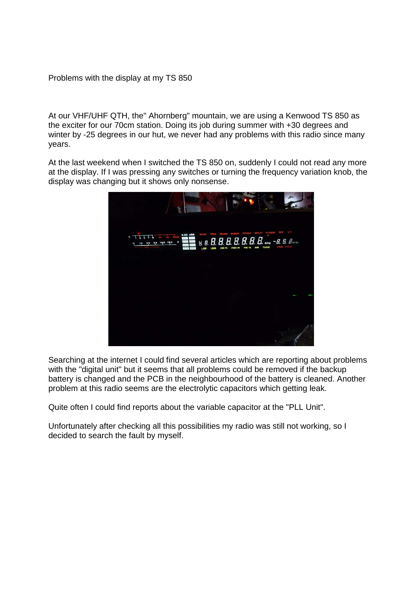Problems with the display at my TS 850

At our VHF/UHF QTH, the" Ahornberg" mountain, we are using a Kenwood TS 850 as the exciter for our 70cm station. Doing its job during summer with +30 degrees and winter by -25 degrees in our hut, we never had any problems with this radio since many years.

At the last weekend when I switched the TS 850 on, suddenly I could not read any more at the display. If I was pressing any switches or turning the frequency variation knob, the display was changing but it shows only nonsense.



Searching at the internet I could find several articles which are reporting about problems with the "digital unit" but it seems that all problems could be removed if the backup battery is changed and the PCB in the neighbourhood of the battery is cleaned. Another problem at this radio seems are the electrolytic capacitors which getting leak.

Quite often I could find reports about the variable capacitor at the "PLL Unit".

Unfortunately after checking all this possibilities my radio was still not working, so I decided to search the fault by myself.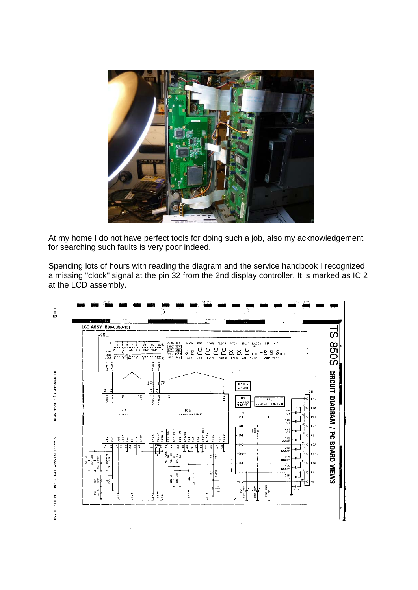

At my home I do not have perfect tools for doing such a job, also my acknowledgement for searching such faults is very poor indeed.

Spending lots of hours with reading the diagram and the service handbook I recognized a missing "clock" signal at the pin 32 from the 2nd display controller. It is marked as IC 2 at the LCD assembly.

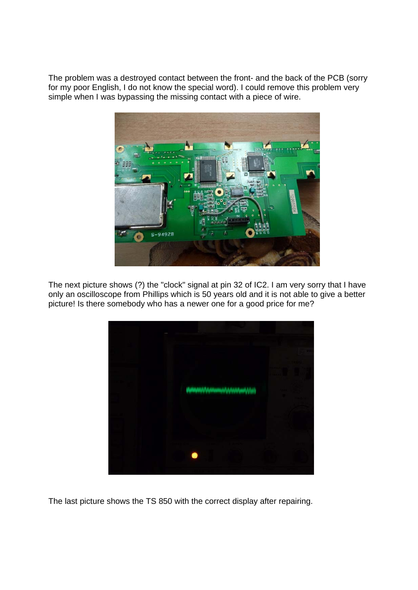The problem was a destroyed contact between the front- and the back of the PCB (sorry for my poor English, I do not know the special word). I could remove this problem very simple when I was bypassing the missing contact with a piece of wire.



The next picture shows (?) the "clock" signal at pin 32 of IC2. I am very sorry that I have only an oscilloscope from Phillips which is 50 years old and it is not able to give a better picture! Is there somebody who has a newer one for a good price for me?



The last picture shows the TS 850 with the correct display after repairing.